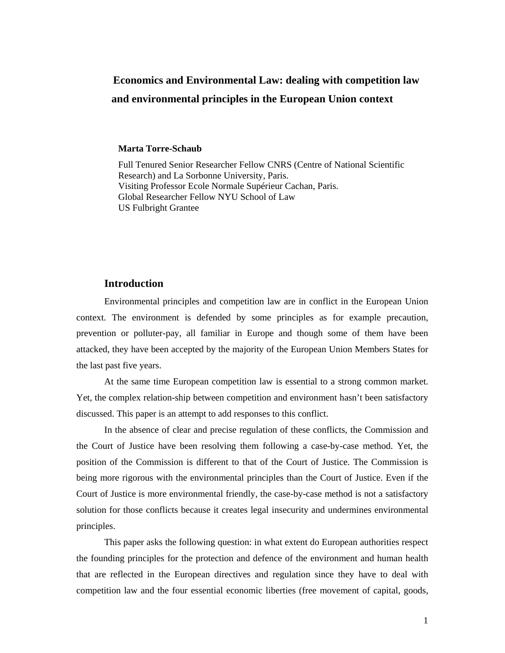## **Economics and Environmental Law: dealing with competition law and environmental principles in the European Union context**

#### **Marta Torre-Schaub**

Full Tenured Senior Researcher Fellow CNRS (Centre of National Scientific Research) and La Sorbonne University, Paris. Visiting Professor Ecole Normale Supérieur Cachan, Paris. Global Researcher Fellow NYU School of Law US Fulbright Grantee

#### **Introduction**

Environmental principles and competition law are in conflict in the European Union context. The environment is defended by some principles as for example precaution, prevention or polluter-pay, all familiar in Europe and though some of them have been attacked, they have been accepted by the majority of the European Union Members States for the last past five years.

At the same time European competition law is essential to a strong common market. Yet, the complex relation-ship between competition and environment hasn't been satisfactory discussed. This paper is an attempt to add responses to this conflict.

In the absence of clear and precise regulation of these conflicts, the Commission and the Court of Justice have been resolving them following a case-by-case method. Yet, the position of the Commission is different to that of the Court of Justice. The Commission is being more rigorous with the environmental principles than the Court of Justice. Even if the Court of Justice is more environmental friendly, the case-by-case method is not a satisfactory solution for those conflicts because it creates legal insecurity and undermines environmental principles.

This paper asks the following question: in what extent do European authorities respect the founding principles for the protection and defence of the environment and human health that are reflected in the European directives and regulation since they have to deal with competition law and the four essential economic liberties (free movement of capital, goods,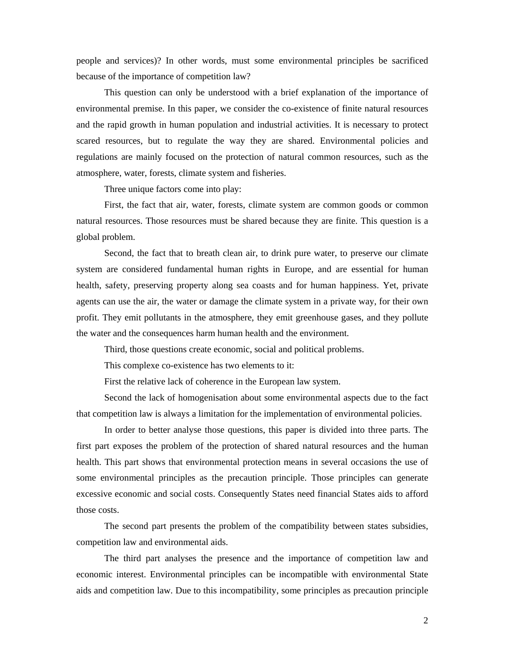people and services)? In other words, must some environmental principles be sacrificed because of the importance of competition law?

This question can only be understood with a brief explanation of the importance of environmental premise. In this paper, we consider the co-existence of finite natural resources and the rapid growth in human population and industrial activities. It is necessary to protect scared resources, but to regulate the way they are shared. Environmental policies and regulations are mainly focused on the protection of natural common resources, such as the atmosphere, water, forests, climate system and fisheries.

Three unique factors come into play:

First, the fact that air, water, forests, climate system are common goods or common natural resources. Those resources must be shared because they are finite. This question is a global problem.

Second, the fact that to breath clean air, to drink pure water, to preserve our climate system are considered fundamental human rights in Europe, and are essential for human health, safety, preserving property along sea coasts and for human happiness. Yet, private agents can use the air, the water or damage the climate system in a private way, for their own profit. They emit pollutants in the atmosphere, they emit greenhouse gases, and they pollute the water and the consequences harm human health and the environment.

Third, those questions create economic, social and political problems.

This complexe co-existence has two elements to it:

First the relative lack of coherence in the European law system.

Second the lack of homogenisation about some environmental aspects due to the fact that competition law is always a limitation for the implementation of environmental policies.

In order to better analyse those questions, this paper is divided into three parts. The first part exposes the problem of the protection of shared natural resources and the human health. This part shows that environmental protection means in several occasions the use of some environmental principles as the precaution principle. Those principles can generate excessive economic and social costs. Consequently States need financial States aids to afford those costs.

The second part presents the problem of the compatibility between states subsidies, competition law and environmental aids.

The third part analyses the presence and the importance of competition law and economic interest. Environmental principles can be incompatible with environmental State aids and competition law. Due to this incompatibility, some principles as precaution principle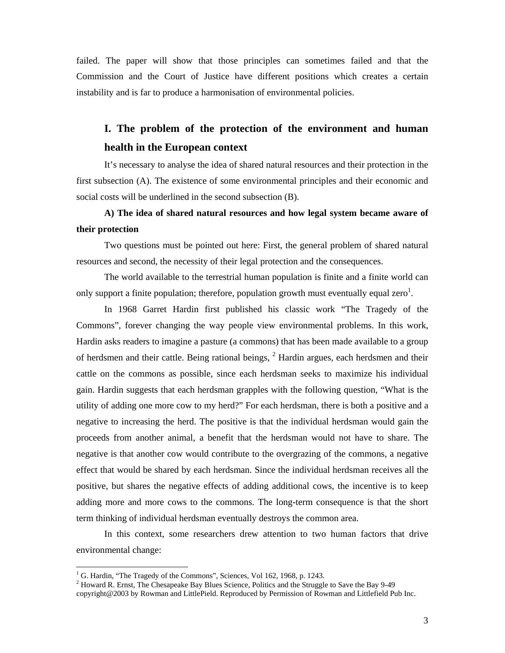failed. The paper will show that those principles can sometimes failed and that the Commission and the Court of Justice have different positions which creates a certain instability and is far to produce a harmonisation of environmental policies.

# **I. The problem of the protection of the environment and human health in the European context**

It's necessary to analyse the idea of shared natural resources and their protection in the first subsection (A). The existence of some environmental principles and their economic and social costs will be underlined in the second subsection (B).

## **A) The idea of shared natural resources and how legal system became aware of their protection**

Two questions must be pointed out here: First, the general problem of shared natural resources and second, the necessity of their legal protection and the consequences.

The world available to the terrestrial human population is finite and a finite world can only support a finite population; therefore, population growth must eventually equal zero<sup>1</sup>.

In 1968 Garret Hardin first published his classic work "The Tragedy of the Commons", forever changing the way people view environmental problems. In this work, Hardin asks readers to imagine a pasture (a commons) that has been made available to a group of herdsmen and their cattle. Being rational beings, <sup>2</sup> Hardin argues, each herdsmen and their cattle on the commons as possible, since each herdsman seeks to maximize his individual gain. Hardin suggests that each herdsman grapples with the following question, "What is the utility of adding one more cow to my herd?" For each herdsman, there is both a positive and a negative to increasing the herd. The positive is that the individual herdsman would gain the proceeds from another animal, a benefit that the herdsman would not have to share. The negative is that another cow would contribute to the overgrazing of the commons, a negative effect that would be shared by each herdsman. Since the individual herdsman receives all the positive, but shares the negative effects of adding additional cows, the incentive is to keep adding more and more cows to the commons. The long-term consequence is that the short term thinking of individual herdsman eventually destroys the common area.

In this context, some researchers drew attention to two human factors that drive environmental change:

<sup>&</sup>lt;sup>1</sup> G. Hardin, "The Tragedy of the Commons", Sciences, Vol 162, 1968, p. 1243.

<sup>&</sup>lt;sup>2</sup> Howard R. Ernst, The Chesapeake Bay Blues Science, Politics and the Struggle to Save the Bay 9-49 copyright@2003 by Rowman and LittlePield. Reproduced by Permission of Rowman and Littlefield Pub Inc.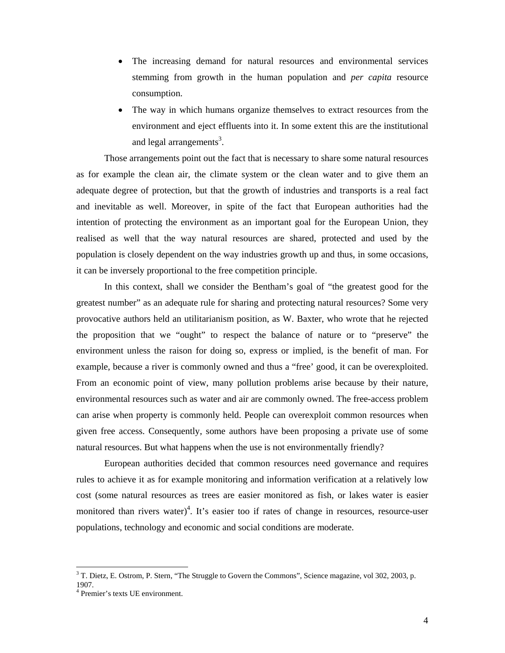- The increasing demand for natural resources and environmental services stemming from growth in the human population and *per capita* resource consumption.
- The way in which humans organize themselves to extract resources from the environment and eject effluents into it. In some extent this are the institutional and legal arrangements<sup>3</sup>.

Those arrangements point out the fact that is necessary to share some natural resources as for example the clean air, the climate system or the clean water and to give them an adequate degree of protection, but that the growth of industries and transports is a real fact and inevitable as well. Moreover, in spite of the fact that European authorities had the intention of protecting the environment as an important goal for the European Union, they realised as well that the way natural resources are shared, protected and used by the population is closely dependent on the way industries growth up and thus, in some occasions, it can be inversely proportional to the free competition principle.

In this context, shall we consider the Bentham's goal of "the greatest good for the greatest number" as an adequate rule for sharing and protecting natural resources? Some very provocative authors held an utilitarianism position, as W. Baxter, who wrote that he rejected the proposition that we "ought" to respect the balance of nature or to "preserve" the environment unless the raison for doing so, express or implied, is the benefit of man. For example, because a river is commonly owned and thus a "free' good, it can be overexploited. From an economic point of view, many pollution problems arise because by their nature, environmental resources such as water and air are commonly owned. The free-access problem can arise when property is commonly held. People can overexploit common resources when given free access. Consequently, some authors have been proposing a private use of some natural resources. But what happens when the use is not environmentally friendly?

European authorities decided that common resources need governance and requires rules to achieve it as for example monitoring and information verification at a relatively low cost (some natural resources as trees are easier monitored as fish, or lakes water is easier monitored than rivers water)<sup>4</sup>. It's easier too if rates of change in resources, resource-user populations, technology and economic and social conditions are moderate.

 $3$  T. Dietz, E. Ostrom, P. Stern, "The Struggle to Govern the Commons", Science magazine, vol 302, 2003, p.

<sup>1907.</sup> 

<sup>4</sup> Premier's texts UE environment.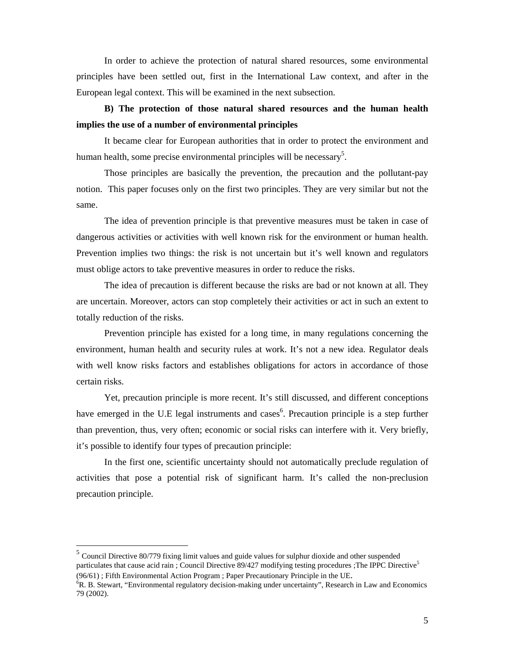In order to achieve the protection of natural shared resources, some environmental principles have been settled out, first in the International Law context, and after in the European legal context. This will be examined in the next subsection.

### **B) The protection of those natural shared resources and the human health implies the use of a number of environmental principles**

It became clear for European authorities that in order to protect the environment and human health, some precise environmental principles will be necessary<sup>5</sup>.

Those principles are basically the prevention, the precaution and the pollutant-pay notion. This paper focuses only on the first two principles. They are very similar but not the same.

The idea of prevention principle is that preventive measures must be taken in case of dangerous activities or activities with well known risk for the environment or human health. Prevention implies two things: the risk is not uncertain but it's well known and regulators must oblige actors to take preventive measures in order to reduce the risks.

The idea of precaution is different because the risks are bad or not known at all. They are uncertain. Moreover, actors can stop completely their activities or act in such an extent to totally reduction of the risks.

Prevention principle has existed for a long time, in many regulations concerning the environment, human health and security rules at work. It's not a new idea. Regulator deals with well know risks factors and establishes obligations for actors in accordance of those certain risks.

Yet, precaution principle is more recent. It's still discussed, and different conceptions have emerged in the U.E legal instruments and cases<sup>6</sup>. Precaution principle is a step further than prevention, thus, very often; economic or social risks can interfere with it. Very briefly, it's possible to identify four types of precaution principle:

In the first one, scientific uncertainty should not automatically preclude regulation of activities that pose a potential risk of significant harm. It's called the non-preclusion precaution principle.

<sup>5</sup> Council Directive 80/779 fixing limit values and guide values for sulphur dioxide and other suspended particulates that cause acid rain ; Council Directive 89/427 modifying testing procedures ;The IPPC Directive<sup>5</sup> (96/61) ; Fifth Environmental Action Program ; Paper Precautionary Principle in the UE. <sup>6</sup>

<sup>&</sup>lt;sup>6</sup>R. B. Stewart, "Environmental regulatory decision-making under uncertainty", Research in Law and Economics 79 (2002).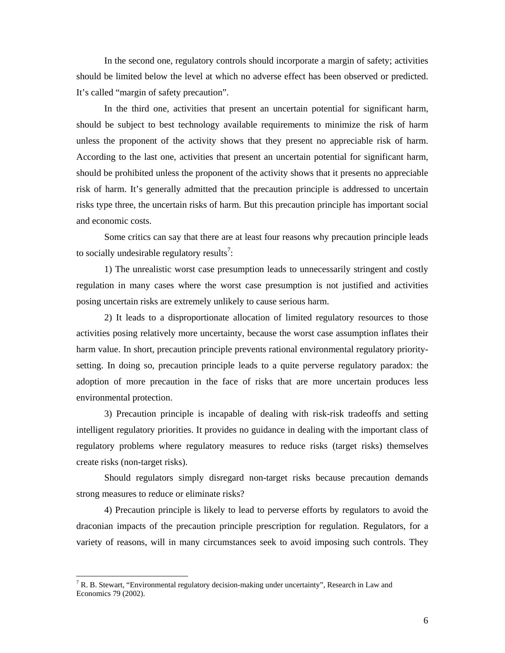In the second one, regulatory controls should incorporate a margin of safety; activities should be limited below the level at which no adverse effect has been observed or predicted. It's called "margin of safety precaution".

In the third one, activities that present an uncertain potential for significant harm, should be subject to best technology available requirements to minimize the risk of harm unless the proponent of the activity shows that they present no appreciable risk of harm. According to the last one, activities that present an uncertain potential for significant harm, should be prohibited unless the proponent of the activity shows that it presents no appreciable risk of harm. It's generally admitted that the precaution principle is addressed to uncertain risks type three, the uncertain risks of harm. But this precaution principle has important social and economic costs.

Some critics can say that there are at least four reasons why precaution principle leads to socially undesirable regulatory results<sup>7</sup>:

1) The unrealistic worst case presumption leads to unnecessarily stringent and costly regulation in many cases where the worst case presumption is not justified and activities posing uncertain risks are extremely unlikely to cause serious harm.

2) It leads to a disproportionate allocation of limited regulatory resources to those activities posing relatively more uncertainty, because the worst case assumption inflates their harm value. In short, precaution principle prevents rational environmental regulatory prioritysetting. In doing so, precaution principle leads to a quite perverse regulatory paradox: the adoption of more precaution in the face of risks that are more uncertain produces less environmental protection.

3) Precaution principle is incapable of dealing with risk-risk tradeoffs and setting intelligent regulatory priorities. It provides no guidance in dealing with the important class of regulatory problems where regulatory measures to reduce risks (target risks) themselves create risks (non-target risks).

Should regulators simply disregard non-target risks because precaution demands strong measures to reduce or eliminate risks?

4) Precaution principle is likely to lead to perverse efforts by regulators to avoid the draconian impacts of the precaution principle prescription for regulation. Regulators, for a variety of reasons, will in many circumstances seek to avoid imposing such controls. They

<sup>&</sup>lt;sup>7</sup> R. B. Stewart, "Environmental regulatory decision-making under uncertainty", Research in Law and Economics 79 (2002).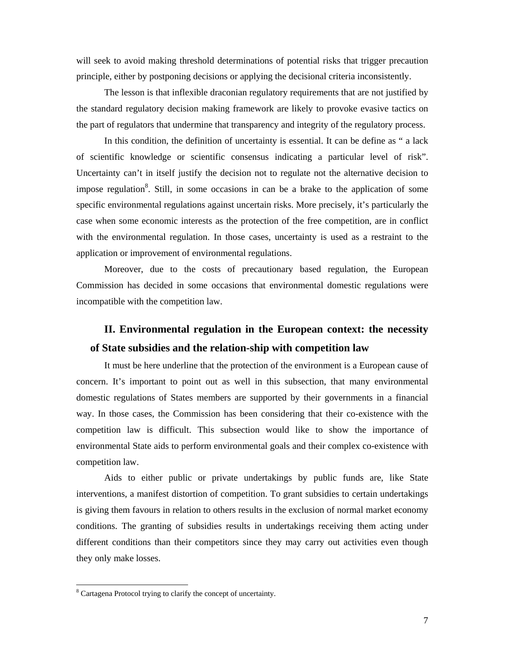will seek to avoid making threshold determinations of potential risks that trigger precaution principle, either by postponing decisions or applying the decisional criteria inconsistently.

The lesson is that inflexible draconian regulatory requirements that are not justified by the standard regulatory decision making framework are likely to provoke evasive tactics on the part of regulators that undermine that transparency and integrity of the regulatory process.

In this condition, the definition of uncertainty is essential. It can be define as " a lack of scientific knowledge or scientific consensus indicating a particular level of risk". Uncertainty can't in itself justify the decision not to regulate not the alternative decision to impose regulation<sup>8</sup>. Still, in some occasions in can be a brake to the application of some specific environmental regulations against uncertain risks. More precisely, it's particularly the case when some economic interests as the protection of the free competition, are in conflict with the environmental regulation. In those cases, uncertainty is used as a restraint to the application or improvement of environmental regulations.

Moreover, due to the costs of precautionary based regulation, the European Commission has decided in some occasions that environmental domestic regulations were incompatible with the competition law.

## **II. Environmental regulation in the European context: the necessity of State subsidies and the relation-ship with competition law**

It must be here underline that the protection of the environment is a European cause of concern. It's important to point out as well in this subsection, that many environmental domestic regulations of States members are supported by their governments in a financial way. In those cases, the Commission has been considering that their co-existence with the competition law is difficult. This subsection would like to show the importance of environmental State aids to perform environmental goals and their complex co-existence with competition law.

Aids to either public or private undertakings by public funds are, like State interventions, a manifest distortion of competition. To grant subsidies to certain undertakings is giving them favours in relation to others results in the exclusion of normal market economy conditions. The granting of subsidies results in undertakings receiving them acting under different conditions than their competitors since they may carry out activities even though they only make losses.

<sup>&</sup>lt;sup>8</sup> Cartagena Protocol trying to clarify the concept of uncertainty.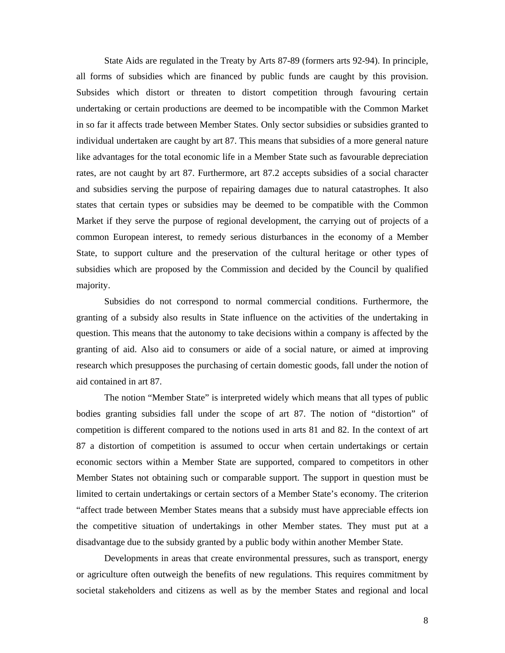State Aids are regulated in the Treaty by Arts 87-89 (formers arts 92-94). In principle, all forms of subsidies which are financed by public funds are caught by this provision. Subsides which distort or threaten to distort competition through favouring certain undertaking or certain productions are deemed to be incompatible with the Common Market in so far it affects trade between Member States. Only sector subsidies or subsidies granted to individual undertaken are caught by art 87. This means that subsidies of a more general nature like advantages for the total economic life in a Member State such as favourable depreciation rates, are not caught by art 87. Furthermore, art 87.2 accepts subsidies of a social character and subsidies serving the purpose of repairing damages due to natural catastrophes. It also states that certain types or subsidies may be deemed to be compatible with the Common Market if they serve the purpose of regional development, the carrying out of projects of a common European interest, to remedy serious disturbances in the economy of a Member State, to support culture and the preservation of the cultural heritage or other types of subsidies which are proposed by the Commission and decided by the Council by qualified majority.

Subsidies do not correspond to normal commercial conditions. Furthermore, the granting of a subsidy also results in State influence on the activities of the undertaking in question. This means that the autonomy to take decisions within a company is affected by the granting of aid. Also aid to consumers or aide of a social nature, or aimed at improving research which presupposes the purchasing of certain domestic goods, fall under the notion of aid contained in art 87.

The notion "Member State" is interpreted widely which means that all types of public bodies granting subsidies fall under the scope of art 87. The notion of "distortion" of competition is different compared to the notions used in arts 81 and 82. In the context of art 87 a distortion of competition is assumed to occur when certain undertakings or certain economic sectors within a Member State are supported, compared to competitors in other Member States not obtaining such or comparable support. The support in question must be limited to certain undertakings or certain sectors of a Member State's economy. The criterion "affect trade between Member States means that a subsidy must have appreciable effects ion the competitive situation of undertakings in other Member states. They must put at a disadvantage due to the subsidy granted by a public body within another Member State.

Developments in areas that create environmental pressures, such as transport, energy or agriculture often outweigh the benefits of new regulations. This requires commitment by societal stakeholders and citizens as well as by the member States and regional and local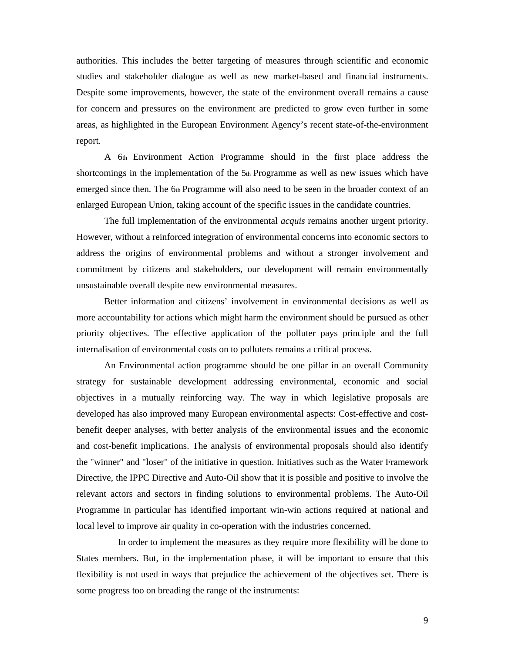authorities. This includes the better targeting of measures through scientific and economic studies and stakeholder dialogue as well as new market-based and financial instruments. Despite some improvements, however, the state of the environment overall remains a cause for concern and pressures on the environment are predicted to grow even further in some areas, as highlighted in the European Environment Agency's recent state-of-the-environment report.

A 6th Environment Action Programme should in the first place address the shortcomings in the implementation of the 5th Programme as well as new issues which have emerged since then. The 6th Programme will also need to be seen in the broader context of an enlarged European Union, taking account of the specific issues in the candidate countries.

The full implementation of the environmental *acquis* remains another urgent priority. However, without a reinforced integration of environmental concerns into economic sectors to address the origins of environmental problems and without a stronger involvement and commitment by citizens and stakeholders, our development will remain environmentally unsustainable overall despite new environmental measures.

Better information and citizens' involvement in environmental decisions as well as more accountability for actions which might harm the environment should be pursued as other priority objectives. The effective application of the polluter pays principle and the full internalisation of environmental costs on to polluters remains a critical process.

An Environmental action programme should be one pillar in an overall Community strategy for sustainable development addressing environmental, economic and social objectives in a mutually reinforcing way. The way in which legislative proposals are developed has also improved many European environmental aspects: Cost-effective and costbenefit deeper analyses, with better analysis of the environmental issues and the economic and cost-benefit implications. The analysis of environmental proposals should also identify the "winner" and "loser" of the initiative in question. Initiatives such as the Water Framework Directive, the IPPC Directive and Auto-Oil show that it is possible and positive to involve the relevant actors and sectors in finding solutions to environmental problems. The Auto-Oil Programme in particular has identified important win-win actions required at national and local level to improve air quality in co-operation with the industries concerned.

In order to implement the measures as they require more flexibility will be done to States members. But, in the implementation phase, it will be important to ensure that this flexibility is not used in ways that prejudice the achievement of the objectives set. There is some progress too on breading the range of the instruments: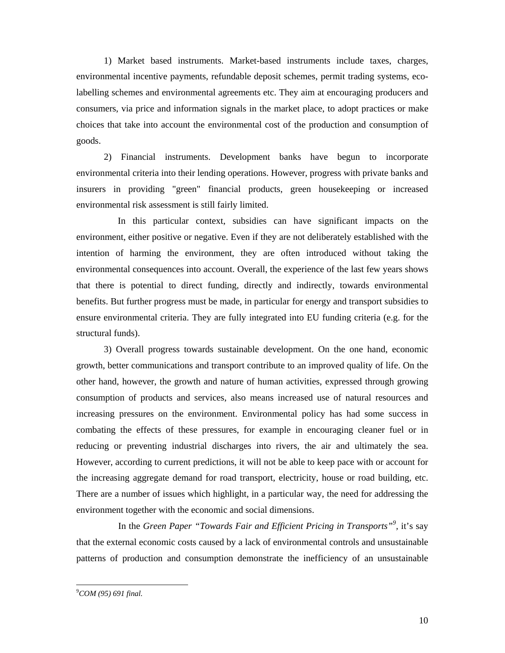1) Market based instruments. Market-based instruments include taxes, charges, environmental incentive payments, refundable deposit schemes, permit trading systems, ecolabelling schemes and environmental agreements etc. They aim at encouraging producers and consumers, via price and information signals in the market place, to adopt practices or make choices that take into account the environmental cost of the production and consumption of goods.

2) Financial instruments. Development banks have begun to incorporate environmental criteria into their lending operations. However, progress with private banks and insurers in providing "green" financial products, green housekeeping or increased environmental risk assessment is still fairly limited.

In this particular context, subsidies can have significant impacts on the environment, either positive or negative. Even if they are not deliberately established with the intention of harming the environment, they are often introduced without taking the environmental consequences into account. Overall, the experience of the last few years shows that there is potential to direct funding, directly and indirectly, towards environmental benefits. But further progress must be made, in particular for energy and transport subsidies to ensure environmental criteria. They are fully integrated into EU funding criteria (e.g. for the structural funds).

3) Overall progress towards sustainable development. On the one hand, economic growth, better communications and transport contribute to an improved quality of life. On the other hand, however, the growth and nature of human activities, expressed through growing consumption of products and services, also means increased use of natural resources and increasing pressures on the environment. Environmental policy has had some success in combating the effects of these pressures, for example in encouraging cleaner fuel or in reducing or preventing industrial discharges into rivers, the air and ultimately the sea. However, according to current predictions, it will not be able to keep pace with or account for the increasing aggregate demand for road transport, electricity, house or road building, etc. There are a number of issues which highlight, in a particular way, the need for addressing the environment together with the economic and social dimensions.

In the *Green Paper "Towards Fair and Efficient Pricing in Transports"<sup>9</sup>, it's say* that the external economic costs caused by a lack of environmental controls and unsustainable patterns of production and consumption demonstrate the inefficiency of an unsustainable

9 *COM (95) 691 final.*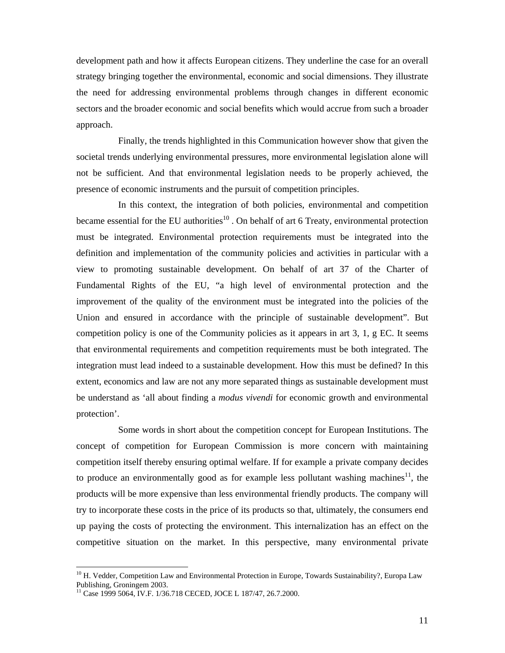development path and how it affects European citizens. They underline the case for an overall strategy bringing together the environmental, economic and social dimensions. They illustrate the need for addressing environmental problems through changes in different economic sectors and the broader economic and social benefits which would accrue from such a broader approach.

Finally, the trends highlighted in this Communication however show that given the societal trends underlying environmental pressures, more environmental legislation alone will not be sufficient. And that environmental legislation needs to be properly achieved, the presence of economic instruments and the pursuit of competition principles.

In this context, the integration of both policies, environmental and competition became essential for the EU authorities $10$ . On behalf of art 6 Treaty, environmental protection must be integrated. Environmental protection requirements must be integrated into the definition and implementation of the community policies and activities in particular with a view to promoting sustainable development. On behalf of art 37 of the Charter of Fundamental Rights of the EU, "a high level of environmental protection and the improvement of the quality of the environment must be integrated into the policies of the Union and ensured in accordance with the principle of sustainable development". But competition policy is one of the Community policies as it appears in art 3, 1, g EC. It seems that environmental requirements and competition requirements must be both integrated. The integration must lead indeed to a sustainable development. How this must be defined? In this extent, economics and law are not any more separated things as sustainable development must be understand as 'all about finding a *modus vivendi* for economic growth and environmental protection'.

Some words in short about the competition concept for European Institutions. The concept of competition for European Commission is more concern with maintaining competition itself thereby ensuring optimal welfare. If for example a private company decides to produce an environmentally good as for example less pollutant washing machines<sup>11</sup>, the products will be more expensive than less environmental friendly products. The company will try to incorporate these costs in the price of its products so that, ultimately, the consumers end up paying the costs of protecting the environment. This internalization has an effect on the competitive situation on the market. In this perspective, many environmental private

<sup>&</sup>lt;sup>10</sup> H. Vedder, Competition Law and Environmental Protection in Europe, Towards Sustainability?, Europa Law Publishing, Groningem 2003.

<sup>&</sup>lt;sup>11</sup> Case 1999 5064, IV.F. 1/36.718 CECED, JOCE L 187/47, 26.7.2000.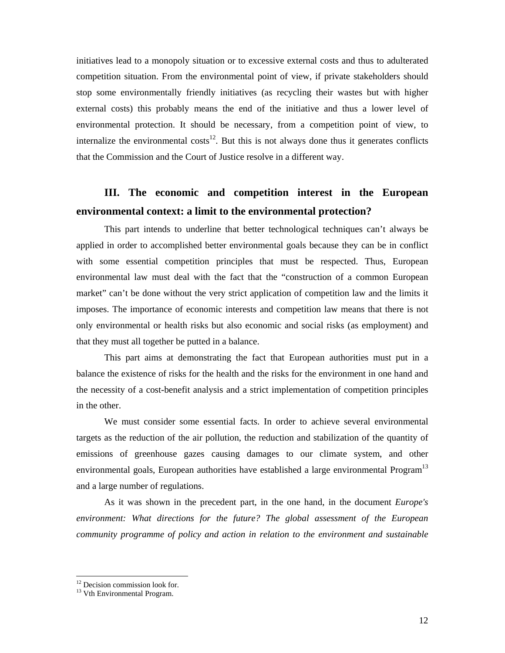initiatives lead to a monopoly situation or to excessive external costs and thus to adulterated competition situation. From the environmental point of view, if private stakeholders should stop some environmentally friendly initiatives (as recycling their wastes but with higher external costs) this probably means the end of the initiative and thus a lower level of environmental protection. It should be necessary, from a competition point of view, to internalize the environmental  $costs^{12}$ . But this is not always done thus it generates conflicts that the Commission and the Court of Justice resolve in a different way.

# **III. The economic and competition interest in the European environmental context: a limit to the environmental protection?**

This part intends to underline that better technological techniques can't always be applied in order to accomplished better environmental goals because they can be in conflict with some essential competition principles that must be respected. Thus, European environmental law must deal with the fact that the "construction of a common European market" can't be done without the very strict application of competition law and the limits it imposes. The importance of economic interests and competition law means that there is not only environmental or health risks but also economic and social risks (as employment) and that they must all together be putted in a balance.

This part aims at demonstrating the fact that European authorities must put in a balance the existence of risks for the health and the risks for the environment in one hand and the necessity of a cost-benefit analysis and a strict implementation of competition principles in the other.

We must consider some essential facts. In order to achieve several environmental targets as the reduction of the air pollution, the reduction and stabilization of the quantity of emissions of greenhouse gazes causing damages to our climate system, and other environmental goals, European authorities have established a large environmental Program<sup>13</sup> and a large number of regulations.

As it was shown in the precedent part, in the one hand, in the document *Europe's environment: What directions for the future? The global assessment of the European community programme of policy and action in relation to the environment and sustainable* 

<sup>&</sup>lt;sup>12</sup> Decision commission look for.

<sup>&</sup>lt;sup>13</sup> Vth Environmental Program.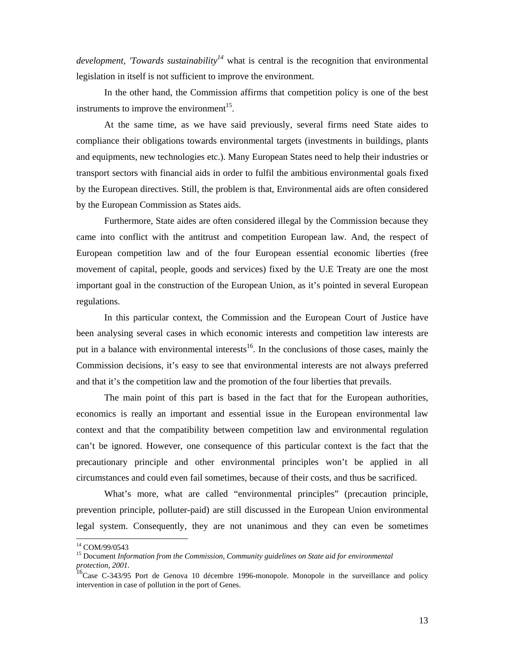*development, 'Towards sustainability<sup>14</sup>* what is central is the recognition that environmental legislation in itself is not sufficient to improve the environment.

In the other hand, the Commission affirms that competition policy is one of the best instruments to improve the environment<sup>15</sup>.

At the same time, as we have said previously, several firms need State aides to compliance their obligations towards environmental targets (investments in buildings, plants and equipments, new technologies etc.). Many European States need to help their industries or transport sectors with financial aids in order to fulfil the ambitious environmental goals fixed by the European directives. Still, the problem is that, Environmental aids are often considered by the European Commission as States aids.

Furthermore, State aides are often considered illegal by the Commission because they came into conflict with the antitrust and competition European law. And, the respect of European competition law and of the four European essential economic liberties (free movement of capital, people, goods and services) fixed by the U.E Treaty are one the most important goal in the construction of the European Union, as it's pointed in several European regulations.

In this particular context, the Commission and the European Court of Justice have been analysing several cases in which economic interests and competition law interests are put in a balance with environmental interests $^{16}$ . In the conclusions of those cases, mainly the Commission decisions, it's easy to see that environmental interests are not always preferred and that it's the competition law and the promotion of the four liberties that prevails.

The main point of this part is based in the fact that for the European authorities, economics is really an important and essential issue in the European environmental law context and that the compatibility between competition law and environmental regulation can't be ignored. However, one consequence of this particular context is the fact that the precautionary principle and other environmental principles won't be applied in all circumstances and could even fail sometimes, because of their costs, and thus be sacrificed.

What's more, what are called "environmental principles" (precaution principle, prevention principle, polluter-paid) are still discussed in the European Union environmental legal system. Consequently, they are not unanimous and they can even be sometimes

<sup>14</sup> COM/99/0543

<sup>15</sup> Document *Information from the Commission, Community guidelines on State aid for environmental protection, 2001.*

<sup>&</sup>lt;sup>16</sup>Case C-343/95 Port de Genova 10 décembre 1996-monopole. Monopole in the surveillance and policy intervention in case of pollution in the port of Genes.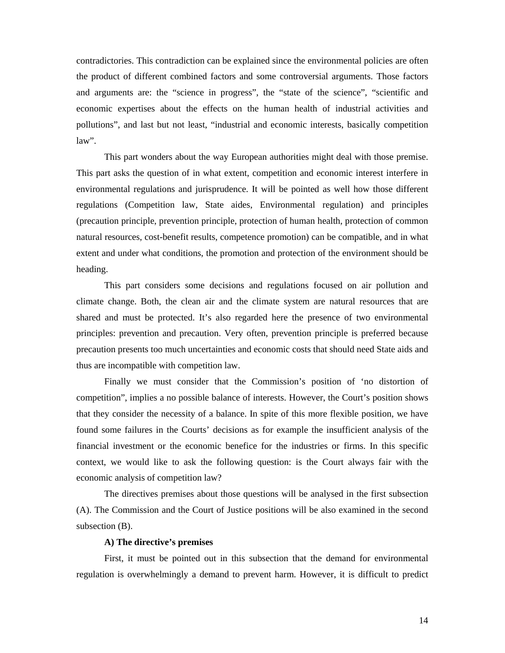contradictories. This contradiction can be explained since the environmental policies are often the product of different combined factors and some controversial arguments. Those factors and arguments are: the "science in progress", the "state of the science", "scientific and economic expertises about the effects on the human health of industrial activities and pollutions", and last but not least, "industrial and economic interests, basically competition law".

This part wonders about the way European authorities might deal with those premise. This part asks the question of in what extent, competition and economic interest interfere in environmental regulations and jurisprudence. It will be pointed as well how those different regulations (Competition law, State aides, Environmental regulation) and principles (precaution principle, prevention principle, protection of human health, protection of common natural resources, cost-benefit results, competence promotion) can be compatible, and in what extent and under what conditions, the promotion and protection of the environment should be heading.

This part considers some decisions and regulations focused on air pollution and climate change. Both, the clean air and the climate system are natural resources that are shared and must be protected. It's also regarded here the presence of two environmental principles: prevention and precaution. Very often, prevention principle is preferred because precaution presents too much uncertainties and economic costs that should need State aids and thus are incompatible with competition law.

Finally we must consider that the Commission's position of 'no distortion of competition", implies a no possible balance of interests. However, the Court's position shows that they consider the necessity of a balance. In spite of this more flexible position, we have found some failures in the Courts' decisions as for example the insufficient analysis of the financial investment or the economic benefice for the industries or firms. In this specific context, we would like to ask the following question: is the Court always fair with the economic analysis of competition law?

The directives premises about those questions will be analysed in the first subsection (A). The Commission and the Court of Justice positions will be also examined in the second subsection (B).

#### **A) The directive's premises**

First, it must be pointed out in this subsection that the demand for environmental regulation is overwhelmingly a demand to prevent harm. However, it is difficult to predict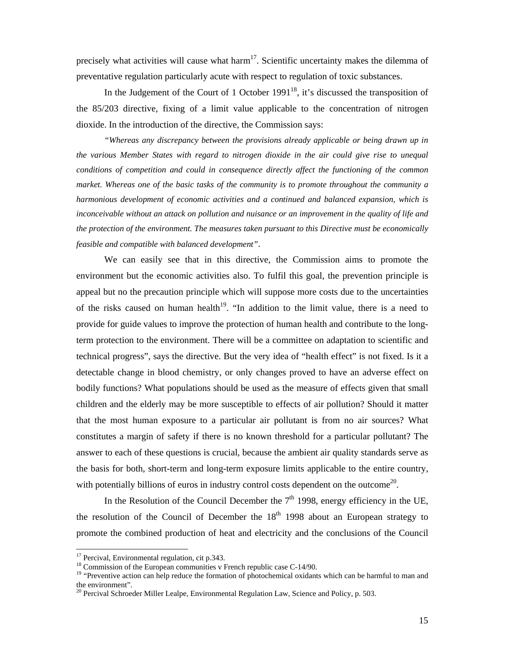precisely what activities will cause what harm<sup>17</sup>. Scientific uncertainty makes the dilemma of preventative regulation particularly acute with respect to regulation of toxic substances.

In the Judgement of the Court of 1 October 1991<sup>18</sup>, it's discussed the transposition of the 85/203 directive, fixing of a limit value applicable to the concentration of nitrogen dioxide. In the introduction of the directive, the Commission says:

*"Whereas any discrepancy between the provisions already applicable or being drawn up in the various Member States with regard to nitrogen dioxide in the air could give rise to unequal conditions of competition and could in consequence directly affect the functioning of the common market. Whereas one of the basic tasks of the community is to promote throughout the community a harmonious development of economic activities and a continued and balanced expansion, which is inconceivable without an attack on pollution and nuisance or an improvement in the quality of life and the protection of the environment. The measures taken pursuant to this Directive must be economically feasible and compatible with balanced development"*.

We can easily see that in this directive, the Commission aims to promote the environment but the economic activities also. To fulfil this goal, the prevention principle is appeal but no the precaution principle which will suppose more costs due to the uncertainties of the risks caused on human health<sup>19</sup>. "In addition to the limit value, there is a need to provide for guide values to improve the protection of human health and contribute to the longterm protection to the environment. There will be a committee on adaptation to scientific and technical progress", says the directive. But the very idea of "health effect" is not fixed. Is it a detectable change in blood chemistry, or only changes proved to have an adverse effect on bodily functions? What populations should be used as the measure of effects given that small children and the elderly may be more susceptible to effects of air pollution? Should it matter that the most human exposure to a particular air pollutant is from no air sources? What constitutes a margin of safety if there is no known threshold for a particular pollutant? The answer to each of these questions is crucial, because the ambient air quality standards serve as the basis for both, short-term and long-term exposure limits applicable to the entire country, with potentially billions of euros in industry control costs dependent on the outcome<sup>20</sup>.

In the Resolution of the Council December the  $7<sup>th</sup>$  1998, energy efficiency in the UE, the resolution of the Council of December the  $18<sup>th</sup>$  1998 about an European strategy to promote the combined production of heat and electricity and the conclusions of the Council

 $\overline{a}$ 

 $17$  Percival, Environmental regulation, cit p.343.

<sup>&</sup>lt;sup>18</sup> Commission of the European communities v French republic case C-14/90.

<sup>&</sup>lt;sup>19</sup> "Preventive action can help reduce the formation of photochemical oxidants which can be harmful to man and the environment".

 $20$  Percival Schroeder Miller Lealpe, Environmental Regulation Law, Science and Policy, p. 503.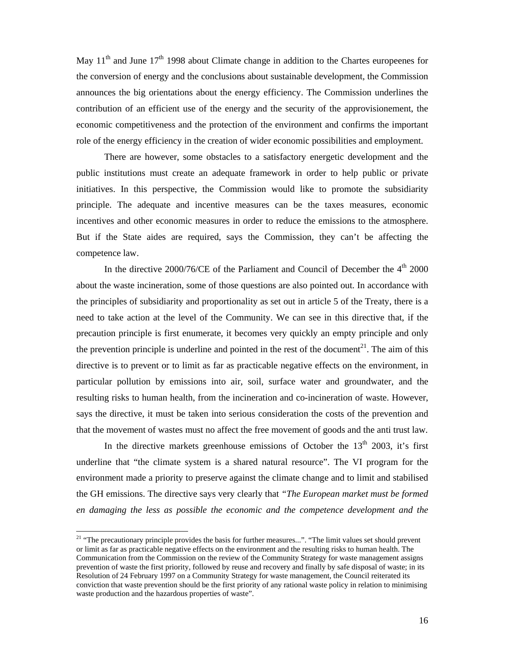May  $11<sup>th</sup>$  and June  $17<sup>th</sup>$  1998 about Climate change in addition to the Chartes europeenes for the conversion of energy and the conclusions about sustainable development, the Commission announces the big orientations about the energy efficiency. The Commission underlines the contribution of an efficient use of the energy and the security of the approvisionement, the economic competitiveness and the protection of the environment and confirms the important role of the energy efficiency in the creation of wider economic possibilities and employment.

There are however, some obstacles to a satisfactory energetic development and the public institutions must create an adequate framework in order to help public or private initiatives. In this perspective, the Commission would like to promote the subsidiarity principle. The adequate and incentive measures can be the taxes measures, economic incentives and other economic measures in order to reduce the emissions to the atmosphere. But if the State aides are required, says the Commission, they can't be affecting the competence law.

In the directive 2000/76/CE of the Parliament and Council of December the  $4<sup>th</sup>$  2000 about the waste incineration, some of those questions are also pointed out. In accordance with the principles of subsidiarity and proportionality as set out in article 5 of the Treaty, there is a need to take action at the level of the Community. We can see in this directive that, if the precaution principle is first enumerate, it becomes very quickly an empty principle and only the prevention principle is underline and pointed in the rest of the document $2<sup>1</sup>$ . The aim of this directive is to prevent or to limit as far as practicable negative effects on the environment, in particular pollution by emissions into air, soil, surface water and groundwater, and the resulting risks to human health, from the incineration and co-incineration of waste. However, says the directive, it must be taken into serious consideration the costs of the prevention and that the movement of wastes must no affect the free movement of goods and the anti trust law.

In the directive markets greenhouse emissions of October the  $13<sup>th</sup>$  2003, it's first underline that "the climate system is a shared natural resource". The VI program for the environment made a priority to preserve against the climate change and to limit and stabilised the GH emissions. The directive says very clearly that *"The European market must be formed en damaging the less as possible the economic and the competence development and the* 

<sup>&</sup>lt;sup>21</sup> "The precautionary principle provides the basis for further measures...". "The limit values set should prevent or limit as far as practicable negative effects on the environment and the resulting risks to human health. The Communication from the Commission on the review of the Community Strategy for waste management assigns prevention of waste the first priority, followed by reuse and recovery and finally by safe disposal of waste; in its Resolution of 24 February 1997 on a Community Strategy for waste management, the Council reiterated its conviction that waste prevention should be the first priority of any rational waste policy in relation to minimising waste production and the hazardous properties of waste".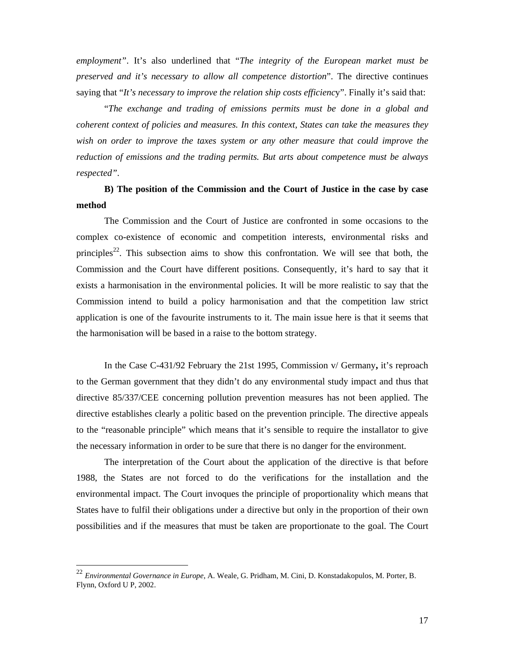*employment"*. It's also underlined that "*The integrity of the European market must be preserved and it's necessary to allow all competence distortion*". The directive continues saying that "*It's necessary to improve the relation ship costs efficienc*y". Finally it's said that:

"*The exchange and trading of emissions permits must be done in a global and coherent context of policies and measures. In this context, States can take the measures they wish on order to improve the taxes system or any other measure that could improve the reduction of emissions and the trading permits. But arts about competence must be always respected"*.

### **B) The position of the Commission and the Court of Justice in the case by case method**

The Commission and the Court of Justice are confronted in some occasions to the complex co-existence of economic and competition interests, environmental risks and principles<sup>22</sup>. This subsection aims to show this confrontation. We will see that both, the Commission and the Court have different positions. Consequently, it's hard to say that it exists a harmonisation in the environmental policies. It will be more realistic to say that the Commission intend to build a policy harmonisation and that the competition law strict application is one of the favourite instruments to it. The main issue here is that it seems that the harmonisation will be based in a raise to the bottom strategy.

In the Case C-431/92 February the 21st 1995, Commission v/ Germany**,** it's reproach to the German government that they didn't do any environmental study impact and thus that directive 85/337/CEE concerning pollution prevention measures has not been applied. The directive establishes clearly a politic based on the prevention principle. The directive appeals to the "reasonable principle" which means that it's sensible to require the installator to give the necessary information in order to be sure that there is no danger for the environment.

The interpretation of the Court about the application of the directive is that before 1988, the States are not forced to do the verifications for the installation and the environmental impact. The Court invoques the principle of proportionality which means that States have to fulfil their obligations under a directive but only in the proportion of their own possibilities and if the measures that must be taken are proportionate to the goal. The Court

 $\overline{a}$ 

<sup>22</sup> *Environmental Governance in Europe*, A. Weale, G. Pridham, M. Cini, D. Konstadakopulos, M. Porter, B. Flynn, Oxford U P, 2002.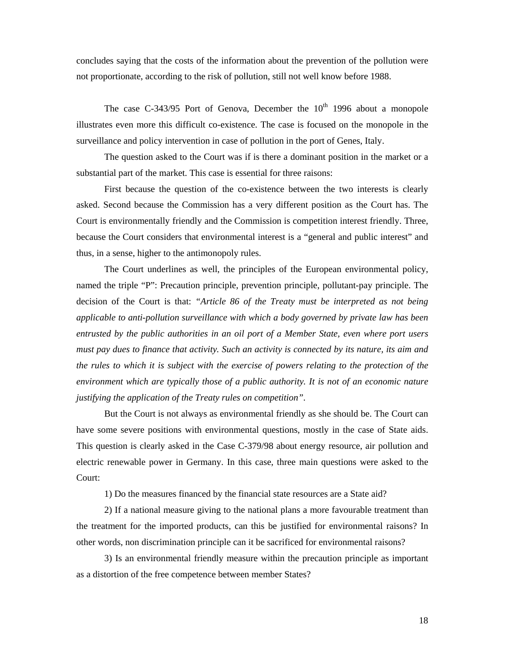concludes saying that the costs of the information about the prevention of the pollution were not proportionate, according to the risk of pollution, still not well know before 1988.

The case C-343/95 Port of Genova, December the  $10<sup>th</sup>$  1996 about a monopole illustrates even more this difficult co-existence. The case is focused on the monopole in the surveillance and policy intervention in case of pollution in the port of Genes, Italy.

The question asked to the Court was if is there a dominant position in the market or a substantial part of the market. This case is essential for three raisons:

First because the question of the co-existence between the two interests is clearly asked. Second because the Commission has a very different position as the Court has. The Court is environmentally friendly and the Commission is competition interest friendly. Three, because the Court considers that environmental interest is a "general and public interest" and thus, in a sense, higher to the antimonopoly rules.

The Court underlines as well, the principles of the European environmental policy, named the triple "P": Precaution principle, prevention principle, pollutant-pay principle. The decision of the Court is that: *"Article 86 of the Treaty must be interpreted as not being applicable to anti-pollution surveillance with which a body governed by private law has been entrusted by the public authorities in an oil port of a Member State, even where port users must pay dues to finance that activity. Such an activity is connected by its nature, its aim and the rules to which it is subject with the exercise of powers relating to the protection of the environment which are typically those of a public authority. It is not of an economic nature justifying the application of the Treaty rules on competition".*

But the Court is not always as environmental friendly as she should be. The Court can have some severe positions with environmental questions, mostly in the case of State aids. This question is clearly asked in the Case C-379/98 about energy resource, air pollution and electric renewable power in Germany. In this case, three main questions were asked to the Court:

1) Do the measures financed by the financial state resources are a State aid?

2) If a national measure giving to the national plans a more favourable treatment than the treatment for the imported products, can this be justified for environmental raisons? In other words, non discrimination principle can it be sacrificed for environmental raisons?

3) Is an environmental friendly measure within the precaution principle as important as a distortion of the free competence between member States?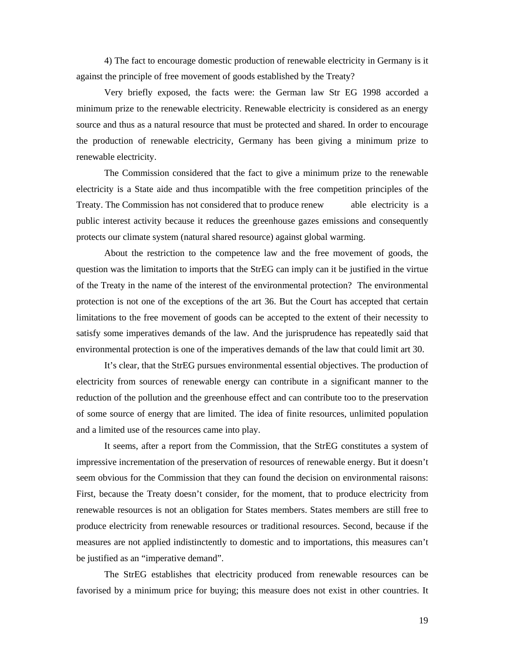4) The fact to encourage domestic production of renewable electricity in Germany is it against the principle of free movement of goods established by the Treaty?

Very briefly exposed, the facts were: the German law Str EG 1998 accorded a minimum prize to the renewable electricity. Renewable electricity is considered as an energy source and thus as a natural resource that must be protected and shared. In order to encourage the production of renewable electricity, Germany has been giving a minimum prize to renewable electricity.

The Commission considered that the fact to give a minimum prize to the renewable electricity is a State aide and thus incompatible with the free competition principles of the Treaty. The Commission has not considered that to produce renew able electricity is a public interest activity because it reduces the greenhouse gazes emissions and consequently protects our climate system (natural shared resource) against global warming.

About the restriction to the competence law and the free movement of goods, the question was the limitation to imports that the StrEG can imply can it be justified in the virtue of the Treaty in the name of the interest of the environmental protection? The environmental protection is not one of the exceptions of the art 36. But the Court has accepted that certain limitations to the free movement of goods can be accepted to the extent of their necessity to satisfy some imperatives demands of the law. And the jurisprudence has repeatedly said that environmental protection is one of the imperatives demands of the law that could limit art 30.

It's clear, that the StrEG pursues environmental essential objectives. The production of electricity from sources of renewable energy can contribute in a significant manner to the reduction of the pollution and the greenhouse effect and can contribute too to the preservation of some source of energy that are limited. The idea of finite resources, unlimited population and a limited use of the resources came into play.

It seems, after a report from the Commission, that the StrEG constitutes a system of impressive incrementation of the preservation of resources of renewable energy. But it doesn't seem obvious for the Commission that they can found the decision on environmental raisons: First, because the Treaty doesn't consider, for the moment, that to produce electricity from renewable resources is not an obligation for States members. States members are still free to produce electricity from renewable resources or traditional resources. Second, because if the measures are not applied indistinctently to domestic and to importations, this measures can't be justified as an "imperative demand".

The StrEG establishes that electricity produced from renewable resources can be favorised by a minimum price for buying; this measure does not exist in other countries. It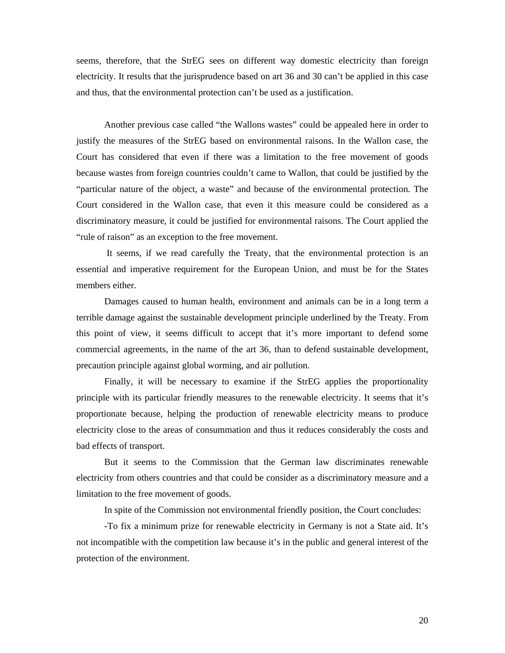seems, therefore, that the StrEG sees on different way domestic electricity than foreign electricity. It results that the jurisprudence based on art 36 and 30 can't be applied in this case and thus, that the environmental protection can't be used as a justification.

Another previous case called "the Wallons wastes" could be appealed here in order to justify the measures of the StrEG based on environmental raisons. In the Wallon case, the Court has considered that even if there was a limitation to the free movement of goods because wastes from foreign countries couldn't came to Wallon, that could be justified by the "particular nature of the object, a waste" and because of the environmental protection. The Court considered in the Wallon case, that even it this measure could be considered as a discriminatory measure, it could be justified for environmental raisons. The Court applied the "rule of raison" as an exception to the free movement.

 It seems, if we read carefully the Treaty, that the environmental protection is an essential and imperative requirement for the European Union, and must be for the States members either.

Damages caused to human health, environment and animals can be in a long term a terrible damage against the sustainable development principle underlined by the Treaty. From this point of view, it seems difficult to accept that it's more important to defend some commercial agreements, in the name of the art 36, than to defend sustainable development, precaution principle against global worming, and air pollution.

Finally, it will be necessary to examine if the StrEG applies the proportionality principle with its particular friendly measures to the renewable electricity. It seems that it's proportionate because, helping the production of renewable electricity means to produce electricity close to the areas of consummation and thus it reduces considerably the costs and bad effects of transport.

But it seems to the Commission that the German law discriminates renewable electricity from others countries and that could be consider as a discriminatory measure and a limitation to the free movement of goods.

In spite of the Commission not environmental friendly position, the Court concludes:

-To fix a minimum prize for renewable electricity in Germany is not a State aid. It's not incompatible with the competition law because it's in the public and general interest of the protection of the environment.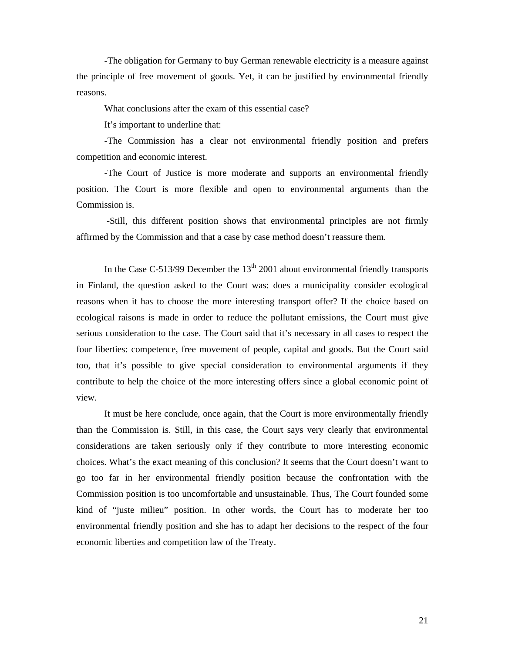-The obligation for Germany to buy German renewable electricity is a measure against the principle of free movement of goods. Yet, it can be justified by environmental friendly reasons.

What conclusions after the exam of this essential case?

It's important to underline that:

-The Commission has a clear not environmental friendly position and prefers competition and economic interest.

-The Court of Justice is more moderate and supports an environmental friendly position. The Court is more flexible and open to environmental arguments than the Commission is.

 -Still, this different position shows that environmental principles are not firmly affirmed by the Commission and that a case by case method doesn't reassure them.

In the Case C-513/99 December the  $13<sup>th</sup>$  2001 about environmental friendly transports in Finland, the question asked to the Court was: does a municipality consider ecological reasons when it has to choose the more interesting transport offer? If the choice based on ecological raisons is made in order to reduce the pollutant emissions, the Court must give serious consideration to the case. The Court said that it's necessary in all cases to respect the four liberties: competence, free movement of people, capital and goods. But the Court said too, that it's possible to give special consideration to environmental arguments if they contribute to help the choice of the more interesting offers since a global economic point of view.

It must be here conclude, once again, that the Court is more environmentally friendly than the Commission is. Still, in this case, the Court says very clearly that environmental considerations are taken seriously only if they contribute to more interesting economic choices. What's the exact meaning of this conclusion? It seems that the Court doesn't want to go too far in her environmental friendly position because the confrontation with the Commission position is too uncomfortable and unsustainable. Thus, The Court founded some kind of "juste milieu" position. In other words, the Court has to moderate her too environmental friendly position and she has to adapt her decisions to the respect of the four economic liberties and competition law of the Treaty.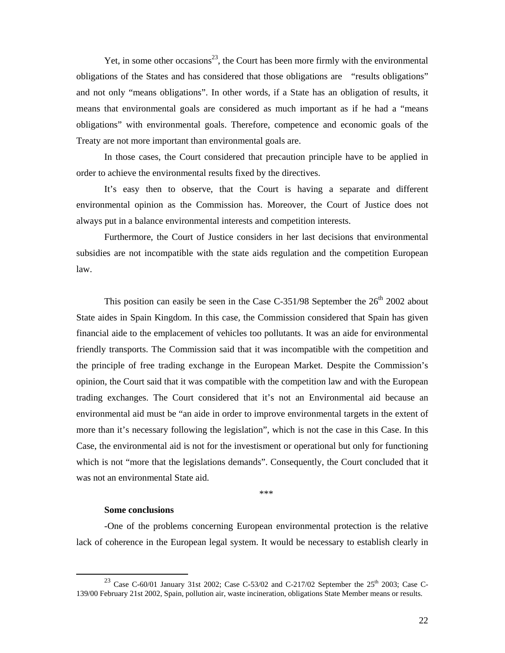Yet, in some other occasions<sup>23</sup>, the Court has been more firmly with the environmental obligations of the States and has considered that those obligations are "results obligations" and not only "means obligations". In other words, if a State has an obligation of results, it means that environmental goals are considered as much important as if he had a "means obligations" with environmental goals. Therefore, competence and economic goals of the Treaty are not more important than environmental goals are.

In those cases, the Court considered that precaution principle have to be applied in order to achieve the environmental results fixed by the directives.

It's easy then to observe, that the Court is having a separate and different environmental opinion as the Commission has. Moreover, the Court of Justice does not always put in a balance environmental interests and competition interests.

Furthermore, the Court of Justice considers in her last decisions that environmental subsidies are not incompatible with the state aids regulation and the competition European law.

This position can easily be seen in the Case C-351/98 September the  $26<sup>th</sup>$  2002 about State aides in Spain Kingdom. In this case, the Commission considered that Spain has given financial aide to the emplacement of vehicles too pollutants. It was an aide for environmental friendly transports. The Commission said that it was incompatible with the competition and the principle of free trading exchange in the European Market. Despite the Commission's opinion, the Court said that it was compatible with the competition law and with the European trading exchanges. The Court considered that it's not an Environmental aid because an environmental aid must be "an aide in order to improve environmental targets in the extent of more than it's necessary following the legislation", which is not the case in this Case. In this Case, the environmental aid is not for the investisment or operational but only for functioning which is not "more that the legislations demands". Consequently, the Court concluded that it was not an environmental State aid.

\*\*\*

#### **Some conclusions**

-One of the problems concerning European environmental protection is the relative lack of coherence in the European legal system. It would be necessary to establish clearly in

<sup>&</sup>lt;sup>23</sup> Case C-60/01 January 31st 2002; Case C-53/02 and C-217/02 September the  $25<sup>th</sup>$  2003; Case C-139/00 February 21st 2002, Spain, pollution air, waste incineration, obligations State Member means or results.